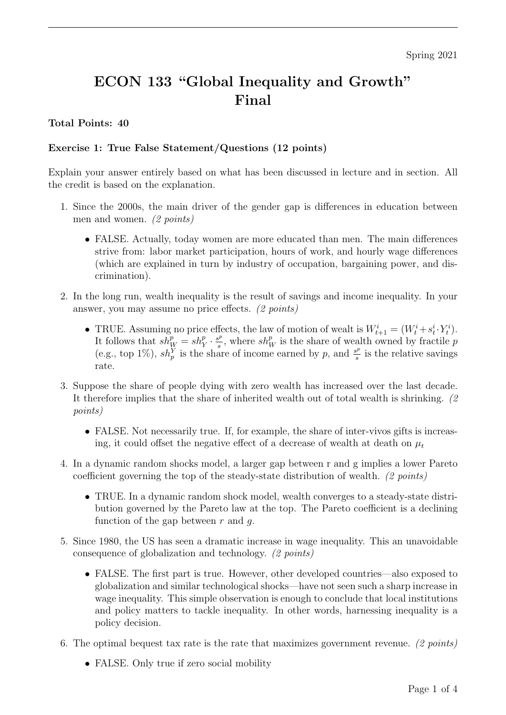# ECON 133 "Global Inequality and Growth" Final

## Total Points: 40

## Exercise 1: True False Statement/Questions (12 points)

Explain your answer entirely based on what has been discussed in lecture and in section. All the credit is based on the explanation.

- 1. Since the 2000s, the main driver of the gender gap is differences in education between men and women. (2 points)
	- FALSE. Actually, today women are more educated than men. The main differences strive from: labor market participation, hours of work, and hourly wage differences (which are explained in turn by industry of occupation, bargaining power, and discrimination).
- 2. In the long run, wealth inequality is the result of savings and income inequality. In your answer, you may assume no price effects. (2 points)
	- TRUE. Assuming no price effects, the law of motion of wealt is  $W_{t+1}^i = (W_t^i + s_t^i \cdot Y_t^i)$ . It follows that  $sh_W^p = sh_Y^p \cdot \frac{s^p}{s}$  $s^p$ , where  $sh_W^p$  is the share of wealth owned by fractile p (e.g., top 1%),  $sh_p^{\hat{Y}}$  is the share of income earned by p, and  $\frac{s^p}{s}$  $\frac{s^p}{s}$  is the relative savings rate.
- 3. Suppose the share of people dying with zero wealth has increased over the last decade. It therefore implies that the share of inherited wealth out of total wealth is shrinking. (2 points)
	- FALSE. Not necessarily true. If, for example, the share of inter-vivos gifts is increasing, it could offset the negative effect of a decrease of wealth at death on  $\mu_t$
- 4. In a dynamic random shocks model, a larger gap between r and g implies a lower Pareto coefficient governing the top of the steady-state distribution of wealth. (2 points)
	- TRUE. In a dynamic random shock model, wealth converges to a steady-state distribution governed by the Pareto law at the top. The Pareto coefficient is a declining function of the gap between  $r$  and  $q$ .
- 5. Since 1980, the US has seen a dramatic increase in wage inequality. This an unavoidable consequence of globalization and technology. (2 points)
	- FALSE. The first part is true. However, other developed countries—also exposed to globalization and similar technological shocks—have not seen such a sharp increase in wage inequality. This simple observation is enough to conclude that local institutions and policy matters to tackle inequality. In other words, harnessing inequality is a policy decision.
- 6. The optimal bequest tax rate is the rate that maximizes government revenue. (2 points)
	- FALSE. Only true if zero social mobility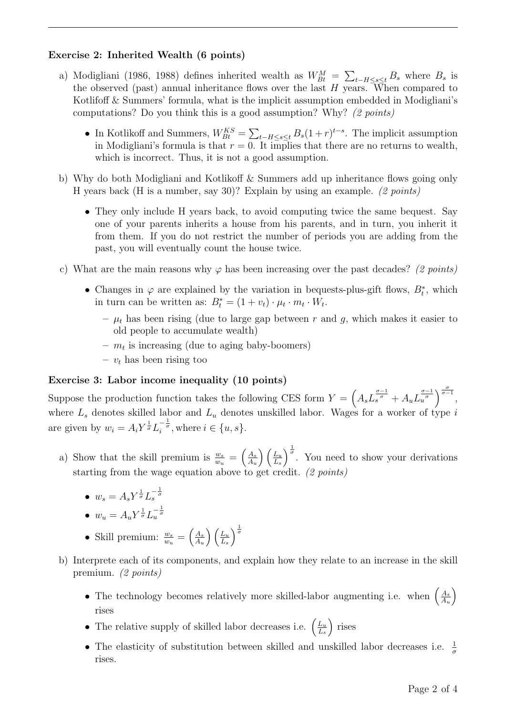#### Exercise 2: Inherited Wealth (6 points)

- a) Modigliani (1986, 1988) defines inherited wealth as  $W_{Bt}^M = \sum_{t-H \le s \le t} B_s$  where  $B_s$  is the observed (past) annual inheritance flows over the last  $H$  years. When compared to Kotlifoff & Summers' formula, what is the implicit assumption embedded in Modigliani's computations? Do you think this is a good assumption? Why? (2 points)
	- In Kotlikoff and Summers,  $W_{Bt}^{KS} = \sum_{t-H \le s \le t} B_s (1+r)^{t-s}$ . The implicit assumption in Modigliani's formula is that  $r = 0$ . It implies that there are no returns to wealth, which is incorrect. Thus, it is not a good assumption.
- b) Why do both Modigliani and Kotlikoff & Summers add up inheritance flows going only H years back (H is a number, say 30)? Explain by using an example. (2 points)
	- They only include H years back, to avoid computing twice the same bequest. Say one of your parents inherits a house from his parents, and in turn, you inherit it from them. If you do not restrict the number of periods you are adding from the past, you will eventually count the house twice.
- c) What are the main reasons why  $\varphi$  has been increasing over the past decades? (2 points)
	- Changes in  $\varphi$  are explained by the variation in bequests-plus-gift flows,  $B_t^*$ , which in turn can be written as:  $B_t^* = (1 + v_t) \cdot \mu_t \cdot m_t \cdot W_t$ .
		- $\mu_t$  has been rising (due to large gap between r and g, which makes it easier to old people to accumulate wealth)
		- $m_t$  is increasing (due to aging baby-boomers)
		- $v_t$  has been rising too

#### Exercise 3: Labor income inequality (10 points)

Suppose the production function takes the following CES form  $Y = \left(A_s L_s^{\frac{\sigma-1}{\sigma}} + A_u L_u^{\frac{\sigma-1}{\sigma}}\right)^{\frac{\sigma}{\sigma-1}},$ where  $L_s$  denotes skilled labor and  $L_u$  denotes unskilled labor. Wages for a worker of type i are given by  $w_i = A_i Y^{\frac{1}{\sigma}} L_i^{-\frac{1}{\sigma}}$ , where  $i \in \{u, s\}$ .

- a) Show that the skill premium is  $\frac{w_s}{w_u} = \left(\frac{A_s}{A_u}\right)$  $A_u$  $\bigwedge L_u$  $L<sub>s</sub>$  $\int_{0}^{\frac{1}{\sigma}}$ . You need to show your derivations starting from the wage equation above to get credit. (2 points)
	- $w_s = A_s Y^{\frac{1}{\sigma}} L_s^{-\frac{1}{\sigma}}$

$$
\bullet \ \ w_u = A_u Y^{\frac{1}{\sigma}} L_u^{-\frac{1}{\sigma}}
$$

- Skill premium:  $\frac{w_s}{w_u} = \left(\frac{A_s}{A_u}\right)$  $A_u$  $\bigwedge L_u$  $L_s$  $\frac{1}{\sigma}$
- b) Interprete each of its components, and explain how they relate to an increase in the skill premium. (2 points)
	- The technology becomes relatively more skilled-labor augmenting i.e. when  $\left(\frac{A_s}{A}\right)$  $A_u$  $\setminus$ rises
	- The relative supply of skilled labor decreases i.e.  $\left(\frac{L_u}{L_v}\right)$  $L_s$ rises
	- The elasticity of substitution between skilled and unskilled labor decreases i.e.  $\frac{1}{\sigma}$ rises.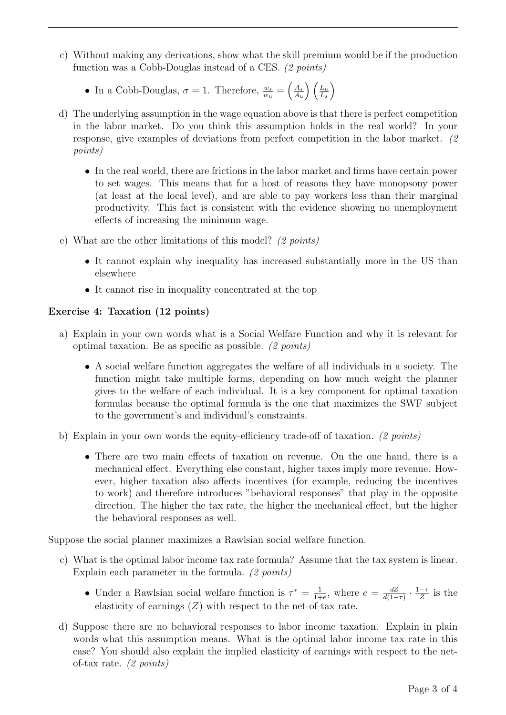- c) Without making any derivations, show what the skill premium would be if the production function was a Cobb-Douglas instead of a CES. (2 points)
	- In a Cobb-Douglas,  $\sigma = 1$ . Therefore,  $\frac{w_s}{w_u} = \left(\frac{A_s}{A_u}\right)$ Au  $\bigwedge L_u$  $L_s$  $\setminus$
- d) The underlying assumption in the wage equation above is that there is perfect competition in the labor market. Do you think this assumption holds in the real world? In your response, give examples of deviations from perfect competition in the labor market. (2 points)
	- In the real world, there are frictions in the labor market and firms have certain power to set wages. This means that for a host of reasons they have monopsony power (at least at the local level), and are able to pay workers less than their marginal productivity. This fact is consistent with the evidence showing no unemployment effects of increasing the minimum wage.
- e) What are the other limitations of this model? (2 points)
	- It cannot explain why inequality has increased substantially more in the US than elsewhere
	- It cannot rise in inequality concentrated at the top

## Exercise 4: Taxation (12 points)

- a) Explain in your own words what is a Social Welfare Function and why it is relevant for optimal taxation. Be as specific as possible. (2 points)
	- A social welfare function aggregates the welfare of all individuals in a society. The function might take multiple forms, depending on how much weight the planner gives to the welfare of each individual. It is a key component for optimal taxation formulas because the optimal formula is the one that maximizes the SWF subject to the government's and individual's constraints.
- b) Explain in your own words the equity-efficiency trade-off of taxation. (2 points)
	- There are two main effects of taxation on revenue. On the one hand, there is a mechanical effect. Everything else constant, higher taxes imply more revenue. However, higher taxation also affects incentives (for example, reducing the incentives to work) and therefore introduces "behavioral responses" that play in the opposite direction. The higher the tax rate, the higher the mechanical effect, but the higher the behavioral responses as well.

Suppose the social planner maximizes a Rawlsian social welfare function.

- c) What is the optimal labor income tax rate formula? Assume that the tax system is linear. Explain each parameter in the formula. (2 points)
	- Under a Rawlsian social welfare function is  $\tau^* = \frac{1}{14}$  $\frac{1}{1+e}$ , where  $e = \frac{dZ}{d(1-e)}$  $\frac{dZ}{d(1-\tau)} \cdot \frac{1-\tau}{Z}$  $\frac{-\tau}{Z}$  is the elasticity of earnings  $(Z)$  with respect to the net-of-tax rate.
- d) Suppose there are no behavioral responses to labor income taxation. Explain in plain words what this assumption means. What is the optimal labor income tax rate in this case? You should also explain the implied elasticity of earnings with respect to the netof-tax rate. (2 points)